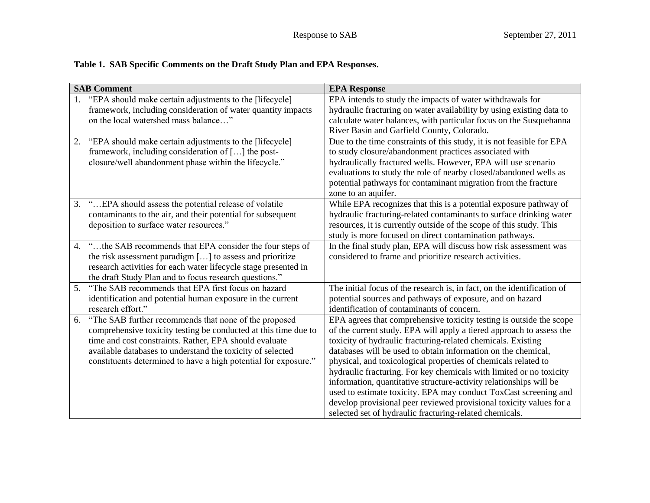## **Table 1. SAB Specific Comments on the Draft Study Plan and EPA Responses.**

| <b>SAB Comment</b> |                                                                 | <b>EPA Response</b>                                                     |
|--------------------|-----------------------------------------------------------------|-------------------------------------------------------------------------|
|                    | 1. "EPA should make certain adjustments to the [lifecycle]      | EPA intends to study the impacts of water withdrawals for               |
|                    | framework, including consideration of water quantity impacts    | hydraulic fracturing on water availability by using existing data to    |
|                    | on the local watershed mass balance"                            | calculate water balances, with particular focus on the Susquehanna      |
|                    |                                                                 | River Basin and Garfield County, Colorado.                              |
| 2.                 | "EPA should make certain adjustments to the [lifecycle]         | Due to the time constraints of this study, it is not feasible for EPA   |
|                    | framework, including consideration of [] the post-              | to study closure/abandonment practices associated with                  |
|                    | closure/well abandonment phase within the lifecycle."           | hydraulically fractured wells. However, EPA will use scenario           |
|                    |                                                                 | evaluations to study the role of nearby closed/abandoned wells as       |
|                    |                                                                 | potential pathways for contaminant migration from the fracture          |
|                    |                                                                 | zone to an aquifer.                                                     |
| 3.                 | "EPA should assess the potential release of volatile            | While EPA recognizes that this is a potential exposure pathway of       |
|                    | contaminants to the air, and their potential for subsequent     | hydraulic fracturing-related contaminants to surface drinking water     |
|                    | deposition to surface water resources."                         | resources, it is currently outside of the scope of this study. This     |
|                    |                                                                 | study is more focused on direct contamination pathways.                 |
| 4.                 | "the SAB recommends that EPA consider the four steps of         | In the final study plan, EPA will discuss how risk assessment was       |
|                    | the risk assessment paradigm [] to assess and prioritize        | considered to frame and prioritize research activities.                 |
|                    | research activities for each water lifecycle stage presented in |                                                                         |
|                    | the draft Study Plan and to focus research questions."          |                                                                         |
| 5.                 | "The SAB recommends that EPA first focus on hazard              | The initial focus of the research is, in fact, on the identification of |
|                    | identification and potential human exposure in the current      | potential sources and pathways of exposure, and on hazard               |
|                    | research effort."                                               | identification of contaminants of concern.                              |
| 6.                 | "The SAB further recommends that none of the proposed           | EPA agrees that comprehensive toxicity testing is outside the scope     |
|                    | comprehensive toxicity testing be conducted at this time due to | of the current study. EPA will apply a tiered approach to assess the    |
|                    | time and cost constraints. Rather, EPA should evaluate          | toxicity of hydraulic fracturing-related chemicals. Existing            |
|                    | available databases to understand the toxicity of selected      | databases will be used to obtain information on the chemical,           |
|                    | constituents determined to have a high potential for exposure." | physical, and toxicological properties of chemicals related to          |
|                    |                                                                 | hydraulic fracturing. For key chemicals with limited or no toxicity     |
|                    |                                                                 | information, quantitative structure-activity relationships will be      |
|                    |                                                                 | used to estimate toxicity. EPA may conduct ToxCast screening and        |
|                    |                                                                 | develop provisional peer reviewed provisional toxicity values for a     |
|                    |                                                                 | selected set of hydraulic fracturing-related chemicals.                 |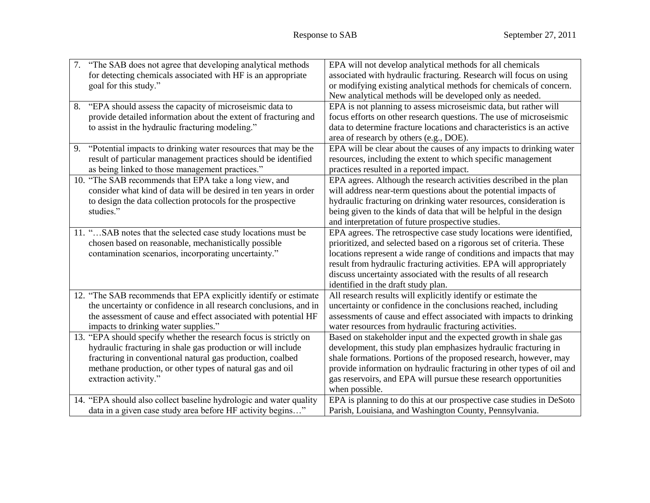| 7. | "The SAB does not agree that developing analytical methods         | EPA will not develop analytical methods for all chemicals             |
|----|--------------------------------------------------------------------|-----------------------------------------------------------------------|
|    | for detecting chemicals associated with HF is an appropriate       | associated with hydraulic fracturing. Research will focus on using    |
|    | goal for this study."                                              | or modifying existing analytical methods for chemicals of concern.    |
|    |                                                                    | New analytical methods will be developed only as needed.              |
| 8. | "EPA should assess the capacity of microseismic data to            | EPA is not planning to assess microseismic data, but rather will      |
|    | provide detailed information about the extent of fracturing and    | focus efforts on other research questions. The use of microseismic    |
|    | to assist in the hydraulic fracturing modeling."                   | data to determine fracture locations and characteristics is an active |
|    |                                                                    | area of research by others (e.g., DOE).                               |
| 9. | "Potential impacts to drinking water resources that may be the     | EPA will be clear about the causes of any impacts to drinking water   |
|    | result of particular management practices should be identified     | resources, including the extent to which specific management          |
|    | as being linked to those management practices."                    | practices resulted in a reported impact.                              |
|    | 10. "The SAB recommends that EPA take a long view, and             | EPA agrees. Although the research activities described in the plan    |
|    | consider what kind of data will be desired in ten years in order   | will address near-term questions about the potential impacts of       |
|    | to design the data collection protocols for the prospective        | hydraulic fracturing on drinking water resources, consideration is    |
|    | studies."                                                          | being given to the kinds of data that will be helpful in the design   |
|    |                                                                    | and interpretation of future prospective studies.                     |
|    | 11. "SAB notes that the selected case study locations must be      | EPA agrees. The retrospective case study locations were identified,   |
|    | chosen based on reasonable, mechanistically possible               | prioritized, and selected based on a rigorous set of criteria. These  |
|    | contamination scenarios, incorporating uncertainty."               | locations represent a wide range of conditions and impacts that may   |
|    |                                                                    | result from hydraulic fracturing activities. EPA will appropriately   |
|    |                                                                    | discuss uncertainty associated with the results of all research       |
|    |                                                                    | identified in the draft study plan.                                   |
|    | 12. "The SAB recommends that EPA explicitly identify or estimate   | All research results will explicitly identify or estimate the         |
|    | the uncertainty or confidence in all research conclusions, and in  | uncertainty or confidence in the conclusions reached, including       |
|    | the assessment of cause and effect associated with potential HF    | assessments of cause and effect associated with impacts to drinking   |
|    | impacts to drinking water supplies."                               | water resources from hydraulic fracturing activities.                 |
|    | 13. "EPA should specify whether the research focus is strictly on  | Based on stakeholder input and the expected growth in shale gas       |
|    | hydraulic fracturing in shale gas production or will include       | development, this study plan emphasizes hydraulic fracturing in       |
|    | fracturing in conventional natural gas production, coalbed         | shale formations. Portions of the proposed research, however, may     |
|    | methane production, or other types of natural gas and oil          | provide information on hydraulic fracturing in other types of oil and |
|    | extraction activity."                                              | gas reservoirs, and EPA will pursue these research opportunities      |
|    |                                                                    | when possible.                                                        |
|    | 14. "EPA should also collect baseline hydrologic and water quality | EPA is planning to do this at our prospective case studies in DeSoto  |
|    | data in a given case study area before HF activity begins"         | Parish, Louisiana, and Washington County, Pennsylvania.               |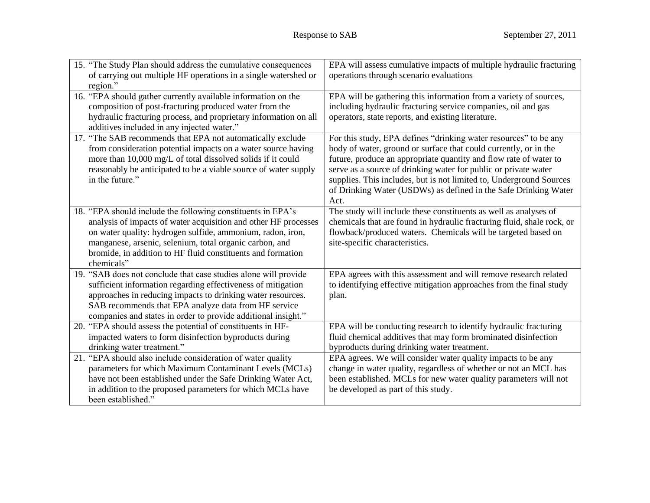| 15. "The Study Plan should address the cumulative consequences   | EPA will assess cumulative impacts of multiple hydraulic fracturing    |
|------------------------------------------------------------------|------------------------------------------------------------------------|
| of carrying out multiple HF operations in a single watershed or  | operations through scenario evaluations                                |
| region."                                                         |                                                                        |
| 16. "EPA should gather currently available information on the    | EPA will be gathering this information from a variety of sources,      |
| composition of post-fracturing produced water from the           | including hydraulic fracturing service companies, oil and gas          |
| hydraulic fracturing process, and proprietary information on all | operators, state reports, and existing literature.                     |
| additives included in any injected water."                       |                                                                        |
| 17. "The SAB recommends that EPA not automatically exclude       | For this study, EPA defines "drinking water resources" to be any       |
| from consideration potential impacts on a water source having    | body of water, ground or surface that could currently, or in the       |
| more than 10,000 mg/L of total dissolved solids if it could      | future, produce an appropriate quantity and flow rate of water to      |
| reasonably be anticipated to be a viable source of water supply  | serve as a source of drinking water for public or private water        |
| in the future."                                                  | supplies. This includes, but is not limited to, Underground Sources    |
|                                                                  | of Drinking Water (USDWs) as defined in the Safe Drinking Water        |
|                                                                  | Act.                                                                   |
| 18. "EPA should include the following constituents in EPA's      | The study will include these constituents as well as analyses of       |
| analysis of impacts of water acquisition and other HF processes  | chemicals that are found in hydraulic fracturing fluid, shale rock, or |
| on water quality: hydrogen sulfide, ammonium, radon, iron,       | flowback/produced waters. Chemicals will be targeted based on          |
| manganese, arsenic, selenium, total organic carbon, and          | site-specific characteristics.                                         |
| bromide, in addition to HF fluid constituents and formation      |                                                                        |
| chemicals"                                                       |                                                                        |
| 19. "SAB does not conclude that case studies alone will provide  | EPA agrees with this assessment and will remove research related       |
| sufficient information regarding effectiveness of mitigation     | to identifying effective mitigation approaches from the final study    |
| approaches in reducing impacts to drinking water resources.      | plan.                                                                  |
| SAB recommends that EPA analyze data from HF service             |                                                                        |
| companies and states in order to provide additional insight."    |                                                                        |
| 20. "EPA should assess the potential of constituents in HF-      | EPA will be conducting research to identify hydraulic fracturing       |
| impacted waters to form disinfection byproducts during           | fluid chemical additives that may form brominated disinfection         |
| drinking water treatment."                                       | byproducts during drinking water treatment.                            |
| 21. "EPA should also include consideration of water quality      | EPA agrees. We will consider water quality impacts to be any           |
| parameters for which Maximum Contaminant Levels (MCLs)           | change in water quality, regardless of whether or not an MCL has       |
| have not been established under the Safe Drinking Water Act,     | been established. MCLs for new water quality parameters will not       |
| in addition to the proposed parameters for which MCLs have       | be developed as part of this study.                                    |
| been established."                                               |                                                                        |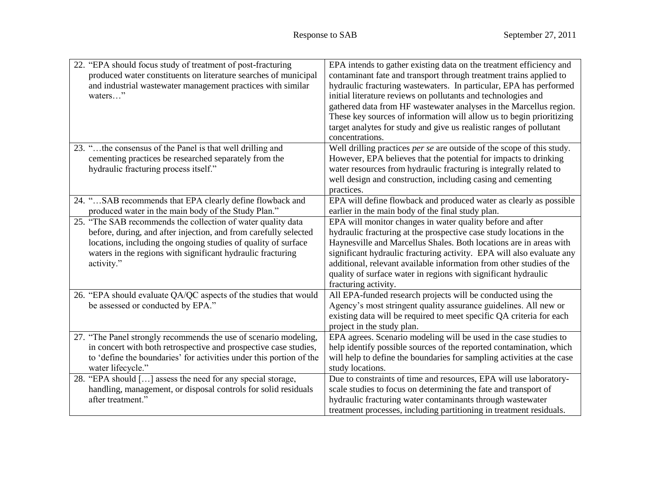| 22. "EPA should focus study of treatment of post-fracturing         | EPA intends to gather existing data on the treatment efficiency and           |
|---------------------------------------------------------------------|-------------------------------------------------------------------------------|
| produced water constituents on literature searches of municipal     | contaminant fate and transport through treatment trains applied to            |
| and industrial wastewater management practices with similar         | hydraulic fracturing wastewaters. In particular, EPA has performed            |
| waters"                                                             | initial literature reviews on pollutants and technologies and                 |
|                                                                     | gathered data from HF wastewater analyses in the Marcellus region.            |
|                                                                     | These key sources of information will allow us to begin prioritizing          |
|                                                                     | target analytes for study and give us realistic ranges of pollutant           |
|                                                                     | concentrations.                                                               |
| 23. "the consensus of the Panel is that well drilling and           | Well drilling practices <i>per se</i> are outside of the scope of this study. |
| cementing practices be researched separately from the               | However, EPA believes that the potential for impacts to drinking              |
| hydraulic fracturing process itself."                               | water resources from hydraulic fracturing is integrally related to            |
|                                                                     | well design and construction, including casing and cementing                  |
|                                                                     | practices.                                                                    |
| 24. "SAB recommends that EPA clearly define flowback and            | EPA will define flowback and produced water as clearly as possible            |
| produced water in the main body of the Study Plan."                 | earlier in the main body of the final study plan.                             |
| 25. "The SAB recommends the collection of water quality data        | EPA will monitor changes in water quality before and after                    |
| before, during, and after injection, and from carefully selected    | hydraulic fracturing at the prospective case study locations in the           |
| locations, including the ongoing studies of quality of surface      | Haynesville and Marcellus Shales. Both locations are in areas with            |
| waters in the regions with significant hydraulic fracturing         | significant hydraulic fracturing activity. EPA will also evaluate any         |
| activity."                                                          | additional, relevant available information from other studies of the          |
|                                                                     | quality of surface water in regions with significant hydraulic                |
|                                                                     | fracturing activity.                                                          |
| 26. "EPA should evaluate QA/QC aspects of the studies that would    | All EPA-funded research projects will be conducted using the                  |
| be assessed or conducted by EPA."                                   | Agency's most stringent quality assurance guidelines. All new or              |
|                                                                     | existing data will be required to meet specific QA criteria for each          |
|                                                                     | project in the study plan.                                                    |
| 27. "The Panel strongly recommends the use of scenario modeling,    | EPA agrees. Scenario modeling will be used in the case studies to             |
| in concert with both retrospective and prospective case studies,    | help identify possible sources of the reported contamination, which           |
| to 'define the boundaries' for activities under this portion of the | will help to define the boundaries for sampling activities at the case        |
| water lifecycle."                                                   | study locations.                                                              |
| 28. "EPA should [] assess the need for any special storage,         | Due to constraints of time and resources, EPA will use laboratory-            |
| handling, management, or disposal controls for solid residuals      | scale studies to focus on determining the fate and transport of               |
| after treatment."                                                   | hydraulic fracturing water contaminants through wastewater                    |
|                                                                     | treatment processes, including partitioning in treatment residuals.           |